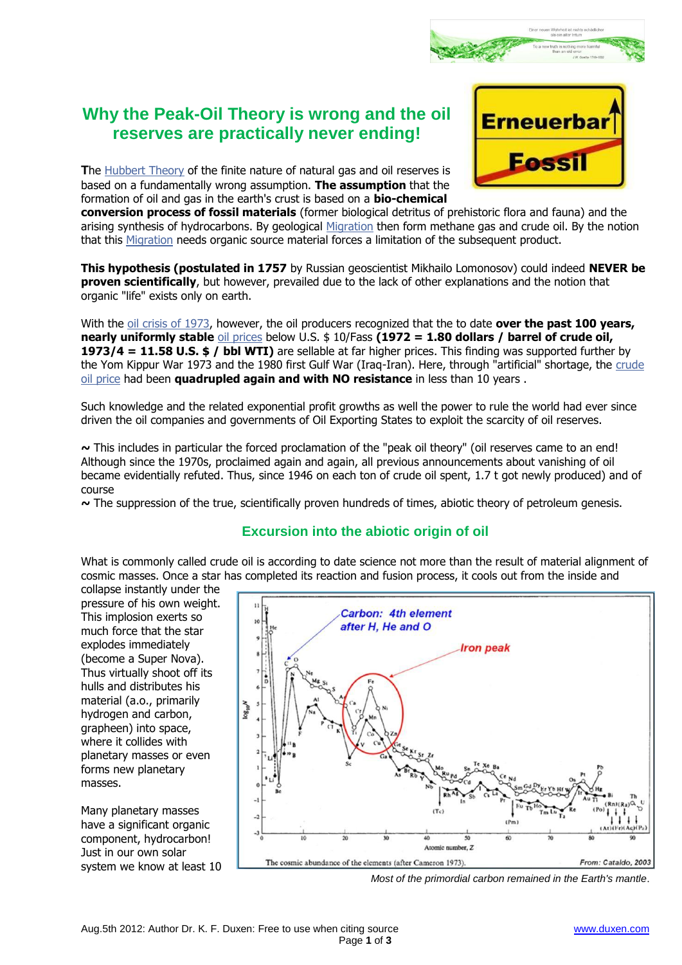# **Why the Peak-Oil Theory is wrong and the oil reserves are practically never ending!**

**T**he [Hubbert Theory](http://de.wikipedia.org/wiki/Hubbert_Peak) of the finite nature of natural gas and oil reserves is based on a fundamentally wrong assumption. **The assumption** that the formation of oil and gas in the earth's crust is based on a **bio-chemical** 



**conversion process of fossil materials** (former biological detritus of prehistoric flora and fauna) and the arising synthesis of hydrocarbons. By geological [Migration](http://de.wikipedia.org/wiki/Migration_%28Geologie%29) then form methane gas and crude oil. By the notion that this [Migration](http://de.wikipedia.org/wiki/Migration_%28Geologie%29) needs organic source material forces a limitation of the subsequent product.

**This hypothesis (postulated in 1757** by Russian geoscientist Mikhailo Lomonosov) could indeed **NEVER be proven scientifically**, but however, prevailed due to the lack of other explanations and the notion that organic "life" exists only on earth.

With the [oil crisis of 1973,](http://zeitenwende.ch/finanzgeschichte/die-oelkrise-1973/) however, the oil producers recognized that the to date **over the past 100 years, nearly uniformly stable** [oil prices](http://www.20min.ch/interaktiv/erdoel_2008/start.html) below U.S. \$ 10/Fass **(1972 = 1.80 dollars / barrel of crude oil, 1973/4 = 11.58 U.S. \$ / bbl WTI)** are sellable at far higher prices. This finding was supported further by the Yom Kippur War 1973 and the 1980 first Gulf War (Iraq-Iran). Here, through "artificial" shortage, the [crude](http://de.wikipedia.org/wiki/ölpreis)  [oil price](http://de.wikipedia.org/wiki/ölpreis) had been **quadrupled again and with NO resistance** in less than 10 years .

Such knowledge and the related exponential profit growths as well the power to rule the world had ever since driven the oil companies and governments of Oil Exporting States to exploit the scarcity of oil reserves.

**~** This includes in particular the forced proclamation of the "peak oil theory" (oil reserves came to an end! Although since the 1970s, proclaimed again and again, all previous announcements about vanishing of oil became evidentially refuted. Thus, since 1946 on each ton of crude oil spent, 1.7 t got newly produced) and of course

**~** The suppression of the true, scientifically proven hundreds of times, abiotic theory of petroleum genesis.

# **Excursion into the abiotic origin of oil**

What is commonly called crude oil is according to date science not more than the result of material alignment of cosmic masses. Once a star has completed its reaction and fusion process, it cools out from the inside and

collapse instantly under the pressure of his own weight. This implosion exerts so much force that the star explodes immediately (become a Super Nova). Thus virtually shoot off its hulls and distributes his material (a.o., primarily hydrogen and carbon, grapheen) into space, where it collides with planetary masses or even forms new planetary masses.

Many planetary masses have a significant organic component, hydrocarbon! Just in our own solar system we know at least 10



*Most of the primordial carbon remained in the Earth's mantle*.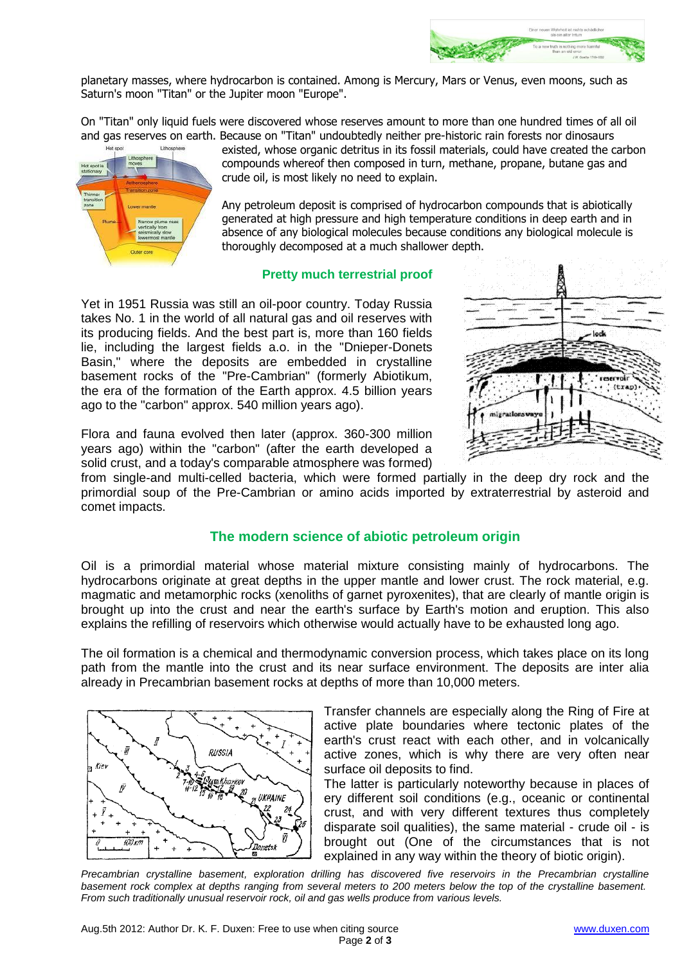

planetary masses, where hydrocarbon is contained. Among is Mercury, Mars or Venus, even moons, such as Saturn's moon "Titan" or the Jupiter moon "Europe".

On "Titan" only liquid fuels were discovered whose reserves amount to more than one hundred times of all oil and gas reserves on earth. Because on "Titan" undoubtedly neither pre-historic rain forests nor dinosaurs



existed, whose organic detritus in its fossil materials, could have created the carbon compounds whereof then composed in turn, methane, propane, butane gas and crude oil, is most likely no need to explain.

Any petroleum deposit is comprised of hydrocarbon compounds that is abiotically generated at high pressure and high temperature conditions in deep earth and in absence of any biological molecules because conditions any biological molecule is thoroughly decomposed at a much shallower depth.

#### **Pretty much terrestrial proof**

Yet in 1951 Russia was still an oil-poor country. Today Russia takes No. 1 in the world of all natural gas and oil reserves with its producing fields. And the best part is, more than 160 fields lie, including the largest fields a.o. in the "Dnieper-Donets Basin," where the deposits are embedded in crystalline basement rocks of the "Pre-Cambrian" (formerly Abiotikum, the era of the formation of the Earth approx. 4.5 billion years ago to the "carbon" approx. 540 million years ago).



Flora and fauna evolved then later (approx. 360-300 million years ago) within the "carbon" (after the earth developed a solid crust, and a today's comparable atmosphere was formed)

from single-and multi-celled bacteria, which were formed partially in the deep dry rock and the primordial soup of the Pre-Cambrian or amino acids imported by extraterrestrial by asteroid and comet impacts.

### **The modern science of abiotic petroleum origin**

Oil is a primordial material whose material mixture consisting mainly of hydrocarbons. The hydrocarbons originate at great depths in the upper mantle and lower crust. The rock material, e.g. magmatic and metamorphic rocks (xenoliths of garnet pyroxenites), that are clearly of mantle origin is brought up into the crust and near the earth's surface by Earth's motion and eruption. This also explains the refilling of reservoirs which otherwise would actually have to be exhausted long ago.

The oil formation is a chemical and thermodynamic conversion process, which takes place on its long path from the mantle into the crust and its near surface environment. The deposits are inter alia already in Precambrian basement rocks at depths of more than 10,000 meters.



Transfer channels are especially along the Ring of Fire at active plate boundaries where tectonic plates of the earth's crust react with each other, and in volcanically active zones, which is why there are very often near surface oil deposits to find.

The latter is particularly noteworthy because in places of ery different soil conditions (e.g., oceanic or continental crust, and with very different textures thus completely disparate soil qualities), the same material - crude oil - is brought out (One of the circumstances that is not explained in any way within the theory of biotic origin).

*Precambrian crystalline basement, exploration drilling has discovered five reservoirs in the Precambrian crystalline basement rock complex at depths ranging from several meters to 200 meters below the top of the crystalline basement. From such traditionally unusual reservoir rock, oil and gas wells produce from various levels.*